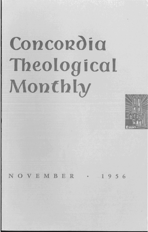## Concordia Theological Monthly



 $V E M B E R$  . 1956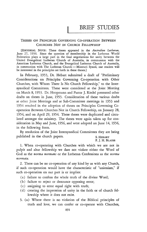## THESES ON PRINCIPLES GOVERNING CO-OPERATION BETWEEN CHURCHES NOT IN CHURCH FELLOWSHIP

[EDITORIAL NOTE: These theses appeared in the *Australian Lutheran,*  June 27, 1956. Since the question of membership in the Lutheran World Federation plays a large part in the final negotiations for unity between the United Evangelical Lutheran Church of Australia, in communion with the American Lutheran Church, and the Evangelical Lutheran Church of Australia, in communion with The Lutheran Church - Missouri Synod, our readers will be interested in the principles set forth in these theses.]

In February, 1953, Dr. Hebart submitted a draft of "Preliminary Considerations on Principles Governing Co-operation with Other Churches, with Whom There Is No Church Fellowship," to the Intersynodical Committees. These were considered at the Joint Meeting on March 8, 1953. Dr. Hoopmann and Pastor J. Riedel presented other drafts on theses in June, 1953. Consideration of these various drafts at other Joint Meetings and at Sub-Committee meetings in 1953 and 1954 resulted in the adoption of theses on Principles Governing Cooperation Between Churches Not in Church Fellowship, on January 28, 1954, and on April 29, 1954. These theses were duplicated and circulated amongst the ministry. The theses were again taken up for consideration in May and June, 1956, and were adopted on June 14, 1956, in the following form.

By resolution of the Joint Intersynodical Committees they are being published in the church papers. S. HEBART

F. J. H. BLAESS

1. When co-operating with Churches with which we are not in pulpit and altar fellowship we dare not violate either the Word of God as the *norma normans* or the Lutheran Confessions as the *norma normata.* 

2. There can be no co-operation of any kind by us with any Church, if such co-operation would have the characteristic of "unionism," if such co-operation on our part is or implies:

- (a) failure to confess the whole truth of the divine Word;
- (b) failure to reject or denounce opposing error;
- ( c) assigning to error equal right with truth;
- (d) creating the impression of unity in the faith or of church fellowship where it does not exist.
- 3. (a) Where there is no violation of the Biblical principles of truth and love, we can confer or co-operate with Churches,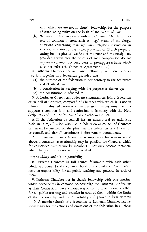with which we are not in church fellowship, for the purpose of establishing unity on the basis of the Word of God.

(b) We may further co-operate with any Christian Church in matters of common interest, such as: legal status of the clergy, questions concerning marriage laws, religious instruction in schools, translation of the Bible, protection of Church property, caring for the physical welfare of the poor and the needy, etc., provided always that the objects of such co-operation do not require a common doctrinal basis or presuppose a basis which does not exist (cf. Theses of Agreement II, 2).

4. Lutheran Churches not in church fellowship with one another may join together in a federation provided that

- (a) the purpose of the federation is not contrary to the Scriptures and clearly defined;
- (b) a constitution in keeping with the purpose is drawn up;
- ( c) the constitution is adhered to.

5. A Lutheran Church can under no circumstances join a federation or council of Churches, composed of Churches with which it is not in fellowship, if this federation or council as such pursues aims that presuppose a common faith and confession in harmony with the Holy Scriptures and the Confessions of the Lutheran Church.

6. If the federation or council has an unscriptural or unionistic basis and aim, affiliation with such a federation or council of Churches can never be justified on the plea that the federation is a federation or council, and that all constituent bodies remain autonomous.

7. If membership in a federation is impossible for reasons stated above, a consultative relationship may be possible for Churches which for conscience' sake cannot be members. They may become members, when the position is satisfactorily rectified.

## *Responsibility and Co-Responsibility*

8. Lutheran Churches in full church fellowship with each other, which are bound by the common bond of the Lutheran Confessions, have co-responsibility for all public teaching and practice in each of them.

9. Lutheran Churches not in church fellowship with one another, which nevertheless in common acknowledge the Lutheran Confessions as their Confessions, have a moral responsibility towards one another, for all public teaching and practice in each of them, within the limits of their knowledge and the opportunity and power to bear witness.

10. A member-church of a federation of Lutheran Churches has responsibility for the actions and omissions of the federation in all those